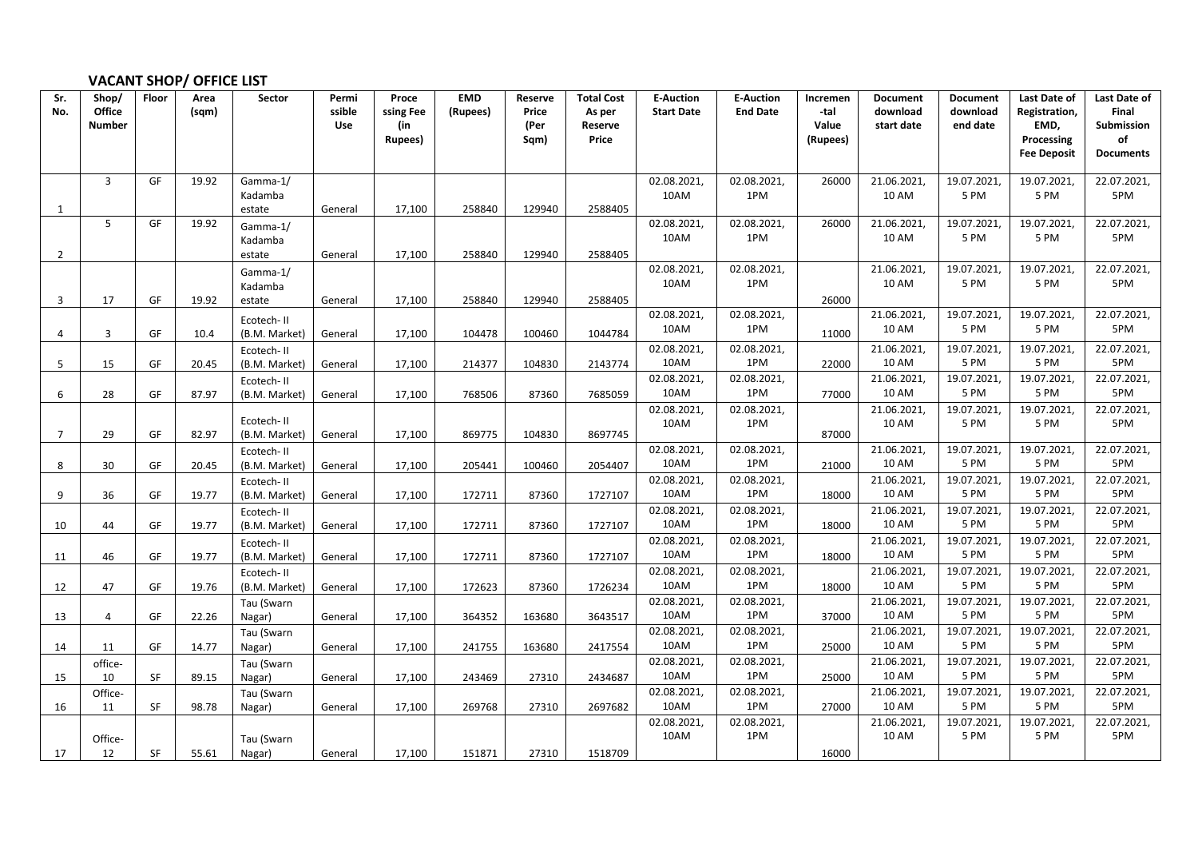## **VACANT SHOP/ OFFICE LIST**

| Sr.            | Shop/          | Floor     | Area  | Sector               | Permi      | Proce          | <b>EMD</b> | Reserve      | <b>Total Cost</b> | <b>E-Auction</b>    | <b>E-Auction</b>   | Incremen          | <b>Document</b>            | <b>Document</b>     | Last Date of            | Last Date of            |
|----------------|----------------|-----------|-------|----------------------|------------|----------------|------------|--------------|-------------------|---------------------|--------------------|-------------------|----------------------------|---------------------|-------------------------|-------------------------|
| No.            | Office         |           | (sqm) |                      | ssible     | ssing Fee      | (Rupees)   | Price        | As per            | <b>Start Date</b>   | <b>End Date</b>    | -tal              | download                   | download            | Registration,           | Final                   |
|                | <b>Number</b>  |           |       |                      | <b>Use</b> | (in<br>Rupees) |            | (Per<br>Sqm) | Reserve<br>Price  |                     |                    | Value<br>(Rupees) | start date                 | end date            | EMD,<br>Processing      | <b>Submission</b><br>of |
|                |                |           |       |                      |            |                |            |              |                   |                     |                    |                   |                            |                     | <b>Fee Deposit</b>      | <b>Documents</b>        |
|                |                |           |       |                      |            |                |            |              |                   |                     |                    |                   |                            |                     |                         |                         |
|                | $\overline{3}$ | GF        | 19.92 | Gamma-1/             |            |                |            |              |                   | 02.08.2021          | 02.08.2021,        | 26000             | 21.06.2021                 | 19.07.2021          | 19.07.2021              | 22.07.2021,             |
|                |                |           |       | Kadamba              |            |                |            |              |                   | 10AM                | 1PM                |                   | <b>10 AM</b>               | 5 PM                | 5 PM                    | 5PM                     |
| 1              |                |           |       | estate               | General    | 17,100         | 258840     | 129940       | 2588405           |                     |                    |                   |                            |                     |                         |                         |
|                | 5              | GF        | 19.92 | Gamma-1/             |            |                |            |              |                   | 02.08.2021,         | 02.08.2021,        | 26000             | 21.06.2021                 | 19.07.2021          | 19.07.2021              | 22.07.2021,             |
|                |                |           |       | Kadamba              |            |                |            |              |                   | 10AM                | 1PM                |                   | 10 AM                      | 5 PM                | 5 PM                    | 5PM                     |
| $\overline{2}$ |                |           |       | estate               | General    | 17,100         | 258840     | 129940       | 2588405           |                     |                    |                   |                            |                     |                         |                         |
|                |                |           |       | Gamma-1/             |            |                |            |              |                   | 02.08.2021<br>10AM  | 02.08.2021,<br>1PM |                   | 21.06.2021<br><b>10 AM</b> | 19.07.2021,<br>5 PM | 19.07.2021<br>5 PM      | 22.07.2021,<br>5PM      |
|                |                |           |       | Kadamba              |            |                |            |              |                   |                     |                    |                   |                            |                     |                         |                         |
| 3              | 17             | GF        | 19.92 | estate               | General    | 17,100         | 258840     | 129940       | 2588405           | 02.08.2021,         | 02.08.2021,        | 26000             | 21.06.2021                 | 19.07.2021,         | 19.07.2021              | 22.07.2021,             |
|                |                |           |       | Ecotech-II           |            |                |            |              |                   | 10AM                | 1PM                |                   | 10 AM                      | 5 PM                | 5 PM                    | 5PM                     |
| 4              | $\overline{3}$ | GF        | 10.4  | (B.M. Market)        | General    | 17,100         | 104478     | 100460       | 1044784           |                     |                    | 11000             |                            |                     |                         |                         |
|                |                |           |       | Ecotech-II           |            |                |            |              |                   | 02.08.2021<br>10AM  | 02.08.2021,<br>1PM |                   | 21.06.2021<br>10 AM        | 19.07.2021<br>5 PM  | 19.07.2021<br>5 PM      | 22.07.2021,<br>5PM      |
| 5              | 15             | GF        | 20.45 | (B.M. Market)        | General    | 17,100         | 214377     | 104830       | 2143774           | 02.08.2021          | 02.08.2021,        | 22000             | 21.06.2021                 | 19.07.2021          | 19.07.2021              | 22.07.2021,             |
| 6              | 28             | GF        | 87.97 | Ecotech-II           |            |                | 768506     | 87360        | 7685059           | 10AM                | 1PM                | 77000             | <b>10 AM</b>               | 5 PM                | 5 PM                    | 5PM                     |
|                |                |           |       | (B.M. Market)        | General    | 17,100         |            |              |                   | 02.08.2021,         | 02.08.2021,        |                   | 21.06.2021                 | 19.07.2021,         | 19.07.2021,             | 22.07.2021,             |
|                |                |           |       | Ecotech-II           |            |                |            |              |                   | 10AM                | 1PM                |                   | <b>10 AM</b>               | 5 PM                | 5 PM                    | 5PM                     |
| $\overline{7}$ | 29             | GF        | 82.97 | (B.M. Market)        | General    | 17,100         | 869775     | 104830       | 8697745           |                     |                    | 87000             |                            |                     |                         |                         |
|                |                |           |       | Ecotech-II           |            |                |            |              |                   | 02.08.2021          | 02.08.2021,        |                   | 21.06.2021                 | 19.07.2021,         | 19.07.2021              | 22.07.2021,             |
| 8              | 30             | GF        | 20.45 | (B.M. Market)        | General    | 17,100         | 205441     | 100460       | 2054407           | 10AM                | 1PM                | 21000             | 10 AM                      | 5 PM                | 5 PM                    | 5PM                     |
|                |                |           |       | Ecotech-II           |            |                |            |              |                   | 02.08.2021,         | 02.08.2021,        |                   | 21.06.2021                 | 19.07.2021,         | 19.07.2021              | 22.07.2021,             |
| 9              | 36             | GF        | 19.77 | (B.M. Market)        | General    | 17,100         | 172711     | 87360        | 1727107           | 10AM                | 1PM                | 18000             | <b>10 AM</b>               | 5 PM                | 5 PM                    | 5PM                     |
|                |                |           |       | Ecotech-II           |            |                |            |              |                   | 02.08.2021,         | 02.08.2021,        |                   | 21.06.2021                 | 19.07.2021,         | 19.07.2021              | 22.07.2021,             |
| 10             | 44             | GF        | 19.77 | (B.M. Market)        | General    | 17,100         | 172711     | 87360        | 1727107           | 10AM                | 1PM                | 18000             | <b>10 AM</b>               | 5 PM                | 5 PM                    | 5PM                     |
|                |                |           |       | Ecotech-II           |            |                |            |              |                   | 02.08.2021          | 02.08.2021,        |                   | 21.06.2021                 | 19.07.2021          | 19.07.2021,             | 22.07.2021,             |
| 11             | 46             | GF        | 19.77 | (B.M. Market)        | General    | 17,100         | 172711     | 87360        | 1727107           | 10AM                | 1PM                | 18000             | 10 AM                      | 5 PM                | 5 PM                    | 5PM                     |
|                |                |           |       | Ecotech-II           |            |                |            |              |                   | 02.08.2021,<br>10AM | 02.08.2021,<br>1PM |                   | 21.06.2021,<br>10 AM       | 19.07.2021<br>5 PM  | 19.07.2021,<br>5 PM     | 22.07.2021,<br>5PM      |
| 12             | 47             | GF        | 19.76 | (B.M. Market)        | General    | 17,100         | 172623     | 87360        | 1726234           |                     |                    | 18000             | 21.06.2021                 |                     | 19.07.2021              | 22.07.2021,             |
| 13             | $\overline{4}$ | GF        | 22.26 | Tau (Swarn<br>Nagar) | General    | 17,100         | 364352     | 163680       | 3643517           | 02.08.2021,<br>10AM | 02.08.2021,<br>1PM | 37000             | <b>10 AM</b>               | 19.07.2021<br>5 PM  | 5 PM                    | 5PM                     |
|                |                |           |       | Tau (Swarn           |            |                |            |              |                   | 02.08.2021          | 02.08.2021,        |                   | 21.06.2021                 | 19.07.2021          | 19.07.2021              | 22.07.2021,             |
| 14             | 11             | GF        | 14.77 | Nagar)               | General    | 17,100         | 241755     | 163680       | 2417554           | 10AM                | 1PM                | 25000             | <b>10 AM</b>               | 5 PM                | 5 PM                    | 5PM                     |
|                | office-        |           |       | Tau (Swarn           |            |                |            |              |                   | 02.08.2021,         | 02.08.2021,        |                   | 21.06.2021                 | 19.07.2021,         | $\overline{19.07.2021}$ | 22.07.2021,             |
| 15             | 10             | <b>SF</b> | 89.15 | Nagar)               | General    | 17,100         | 243469     | 27310        | 2434687           | 10AM                | 1PM                | 25000             | <b>10 AM</b>               | 5 PM                | 5 PM                    | 5PM                     |
|                | Office-        |           |       | Tau (Swarn           |            |                |            |              |                   | 02.08.2021,         | 02.08.2021,        |                   | 21.06.2021                 | 19.07.2021,         | 19.07.2021,             | 22.07.2021,             |
| 16             | 11             | <b>SF</b> | 98.78 | Nagar)               | General    | 17,100         | 269768     | 27310        | 2697682           | 10AM                | 1PM                | 27000             | 10 AM                      | 5 PM                | 5 PM                    | 5PM                     |
|                |                |           |       |                      |            |                |            |              |                   | 02.08.2021          | 02.08.2021,        |                   | 21.06.2021                 | 19.07.2021          | 19.07.2021              | $\overline{22.07.2021}$ |
|                | Office-        |           |       | Tau (Swarn           |            |                |            |              |                   | 10AM                | 1PM                |                   | 10 AM                      | 5 PM                | 5 PM                    | 5PM                     |
| 17             | 12             | SF        | 55.61 | Nagar)               | General    | 17,100         | 151871     | 27310        | 1518709           |                     |                    | 16000             |                            |                     |                         |                         |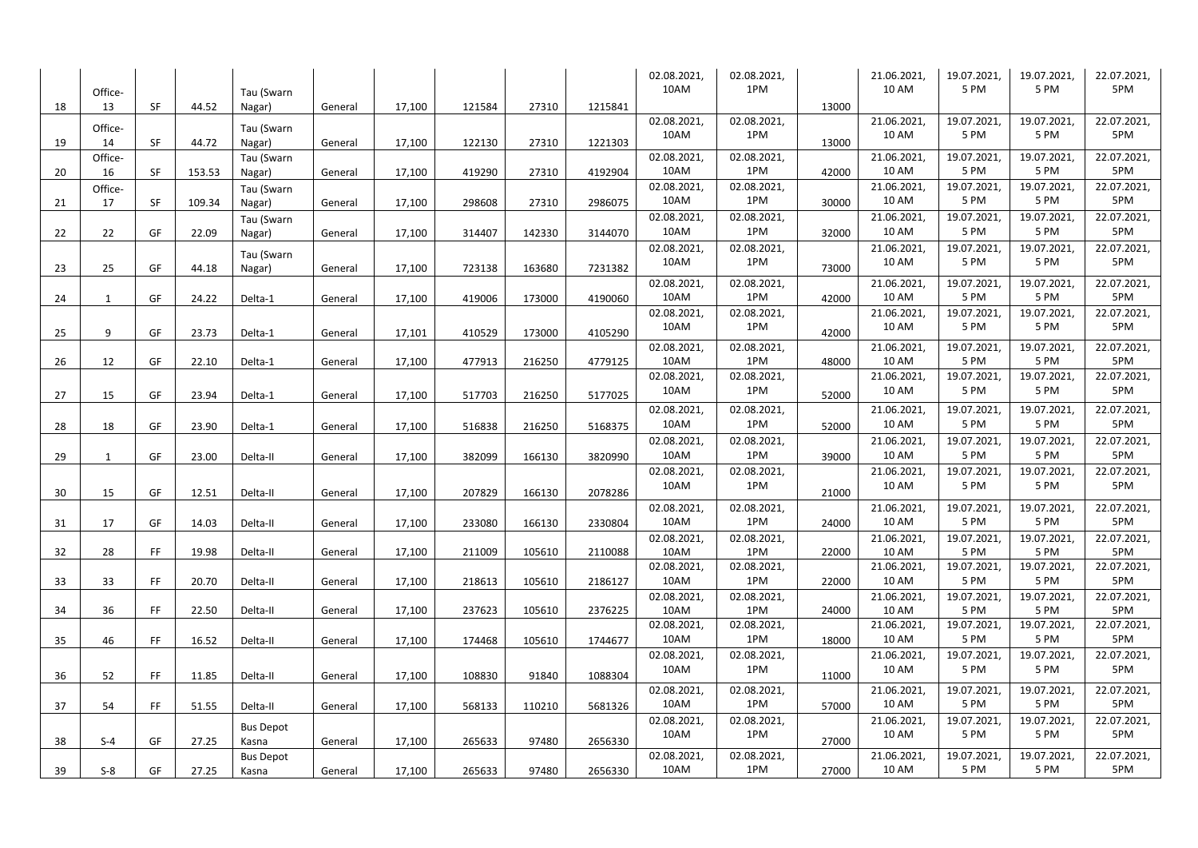|    |         |           |        |                  |         |        |        |        |         | 02.08.2021, | 02.08.2021, |       | 21.06.2021,  | 19.07.2021, | 19.07.2021 | 22.07.2021, |
|----|---------|-----------|--------|------------------|---------|--------|--------|--------|---------|-------------|-------------|-------|--------------|-------------|------------|-------------|
|    | Office- |           |        | Tau (Swarn       |         |        |        |        |         | 10AM        | 1PM         |       | 10 AM        | 5 PM        | 5 PM       | 5PM         |
| 18 | 13      | SF        | 44.52  | Nagar)           | General | 17,100 | 121584 | 27310  | 1215841 |             |             | 13000 |              |             |            |             |
|    | Office- |           |        | Tau (Swarn       |         |        |        |        |         | 02.08.2021  | 02.08.2021, |       | 21.06.2021,  | 19.07.2021  | 19.07.2021 | 22.07.2021, |
| 19 | 14      | <b>SF</b> | 44.72  | Nagar)           | General | 17,100 | 122130 | 27310  | 1221303 | 10AM        | 1PM         | 13000 | <b>10 AM</b> | 5 PM        | 5 PM       | 5PM         |
|    | Office- |           |        | Tau (Swarn       |         |        |        |        |         | 02.08.2021, | 02.08.2021, |       | 21.06.2021   | 19.07.2021  | 19.07.2021 | 22.07.2021, |
| 20 | 16      | SF        | 153.53 | Nagar)           | General | 17,100 | 419290 | 27310  | 4192904 | 10AM        | 1PM         | 42000 | 10 AM        | 5 PM        | 5 PM       | 5PM         |
|    | Office- |           |        | Tau (Swarn       |         |        |        |        |         | 02.08.2021, | 02.08.2021, |       | 21.06.2021   | 19.07.2021  | 19.07.2021 | 22.07.2021, |
| 21 | 17      | SF        | 109.34 | Nagar)           | General | 17,100 | 298608 | 27310  | 2986075 | 10AM        | 1PM         | 30000 | 10 AM        | 5 PM        | 5 PM       | 5PM         |
|    |         |           |        | Tau (Swarn       |         |        |        |        |         | 02.08.2021, | 02.08.2021, |       | 21.06.2021,  | 19.07.2021, | 19.07.2021 | 22.07.2021, |
| 22 | 22      | GF        | 22.09  | Nagar)           | General | 17,100 | 314407 | 142330 | 3144070 | 10AM        | 1PM         | 32000 | <b>10 AM</b> | 5 PM        | 5 PM       | 5PM         |
|    |         |           |        | Tau (Swarn       |         |        |        |        |         | 02.08.2021, | 02.08.2021, |       | 21.06.2021   | 19.07.2021  | 19.07.2021 | 22.07.2021, |
| 23 | 25      | GF        | 44.18  | Nagar)           | General | 17,100 | 723138 | 163680 | 7231382 | 10AM        | 1PM         | 73000 | 10 AM        | 5 PM        | 5 PM       | 5PM         |
|    |         |           |        |                  |         |        |        |        |         | 02.08.2021, | 02.08.2021, |       | 21.06.2021,  | 19.07.2021  | 19.07.2021 | 22.07.2021, |
| 24 | 1       | GF        | 24.22  | Delta-1          | General | 17,100 | 419006 | 173000 | 4190060 | 10AM        | 1PM         | 42000 | <b>10 AM</b> | 5 PM        | 5 PM       | 5PM         |
|    |         |           |        |                  |         |        |        |        |         | 02.08.2021, | 02.08.2021, |       | 21.06.2021,  | 19.07.2021  | 19.07.2021 | 22.07.2021, |
| 25 | 9       | GF        | 23.73  | Delta-1          | General | 17,101 | 410529 | 173000 | 4105290 | 10AM        | 1PM         | 42000 | <b>10 AM</b> | 5 PM        | 5 PM       | 5PM         |
|    |         |           |        |                  |         |        |        |        |         | 02.08.2021, | 02.08.2021, |       | 21.06.2021   | 19.07.2021  | 19.07.2021 | 22.07.2021, |
| 26 | 12      | GF        | 22.10  | Delta-1          | General | 17,100 | 477913 | 216250 | 4779125 | 10AM        | 1PM         | 48000 | 10 AM        | 5 PM        | 5 PM       | 5PM         |
|    |         |           |        |                  |         |        |        |        |         | 02.08.2021, | 02.08.2021, |       | 21.06.2021   | 19.07.2021  | 19.07.2021 | 22.07.2021, |
| 27 | 15      | GF        | 23.94  | Delta-1          | General | 17,100 | 517703 | 216250 | 5177025 | 10AM        | 1PM         | 52000 | 10 AM        | 5 PM        | 5 PM       | 5PM         |
|    |         |           |        |                  |         |        |        |        |         | 02.08.2021, | 02.08.2021, |       | 21.06.2021,  | 19.07.2021, | 19.07.2021 | 22.07.2021, |
| 28 | 18      | GF        | 23.90  | Delta-1          | General | 17,100 | 516838 | 216250 | 5168375 | 10AM        | 1PM         | 52000 | <b>10 AM</b> | 5 PM        | 5 PM       | 5PM         |
|    |         |           |        |                  |         |        |        |        |         | 02.08.2021, | 02.08.2021, |       | 21.06.2021,  | 19.07.2021  | 19.07.2021 | 22.07.2021, |
| 29 | 1       | GF        | 23.00  | Delta-II         | General | 17,100 | 382099 | 166130 | 3820990 | 10AM        | 1PM         | 39000 | 10 AM        | 5 PM        | 5 PM       | 5PM         |
|    |         |           |        |                  |         |        |        |        |         | 02.08.2021, | 02.08.2021, |       | 21.06.2021   | 19.07.2021  | 19.07.2021 | 22.07.2021, |
| 30 | 15      | GF        | 12.51  | Delta-II         | General | 17,100 | 207829 | 166130 | 2078286 | 10AM        | 1PM         | 21000 | 10 AM        | 5 PM        | 5 PM       | 5PM         |
|    |         |           |        |                  |         |        |        |        |         | 02.08.2021, | 02.08.2021, |       | 21.06.2021,  | 19.07.2021  | 19.07.2021 | 22.07.2021, |
| 31 | 17      | GF        | 14.03  | Delta-II         | General | 17,100 | 233080 | 166130 | 2330804 | 10AM        | 1PM         | 24000 | 10 AM        | 5 PM        | 5 PM       | 5PM         |
|    |         |           |        |                  |         |        |        |        |         | 02.08.2021, | 02.08.2021, |       | 21.06.2021   | 19.07.2021  | 19.07.2021 | 22.07.2021, |
| 32 | 28      | FF        | 19.98  | Delta-II         | General | 17,100 | 211009 | 105610 | 2110088 | 10AM        | 1PM         | 22000 | 10 AM        | 5 PM        | 5 PM       | 5PM         |
|    |         |           |        |                  |         |        |        |        |         | 02.08.2021  | 02.08.2021, |       | 21.06.2021   | 19.07.2021  | 19.07.2021 | 22.07.2021, |
| 33 | 33      | FF.       | 20.70  | Delta-II         | General | 17,100 | 218613 | 105610 | 2186127 | 10AM        | 1PM         | 22000 | 10 AM        | 5 PM        | 5 PM       | 5PM         |
|    |         |           |        |                  |         |        |        |        |         | 02.08.2021, | 02.08.2021, |       | 21.06.2021,  | 19.07.2021  | 19.07.2021 | 22.07.2021, |
| 34 | 36      | FF.       | 22.50  | Delta-II         | General | 17.100 | 237623 | 105610 | 2376225 | 10AM        | 1PM         | 24000 | <b>10 AM</b> | 5 PM        | 5 PM       | 5PM         |
|    |         |           |        |                  |         |        |        |        |         | 02.08.2021  | 02.08.2021, |       | 21.06.2021   | 19.07.2021  | 19.07.2021 | 22.07.2021, |
| 35 | 46      | FF.       | 16.52  | Delta-II         | General | 17,100 | 174468 | 105610 | 1744677 | 10AM        | 1PM         | 18000 | <b>10 AM</b> | 5 PM        | 5 PM       | 5PM         |
|    |         |           |        |                  |         |        |        |        |         | 02.08.2021, | 02.08.2021, |       | 21.06.2021,  | 19.07.2021  | 19.07.2021 | 22.07.2021, |
| 36 | 52      | <b>FF</b> | 11.85  | Delta-II         | General | 17,100 | 108830 | 91840  | 1088304 | 10AM        | 1PM         | 11000 | 10 AM        | 5 PM        | 5 PM       | 5PM         |
|    |         |           |        |                  |         |        |        |        |         | 02.08.2021, | 02.08.2021, |       | 21.06.2021   | 19.07.2021  | 19.07.2021 | 22.07.2021, |
| 37 | 54      | FF.       | 51.55  | Delta-II         | General | 17,100 | 568133 | 110210 | 5681326 | 10AM        | 1PM         | 57000 | 10 AM        | 5 PM        | 5 PM       | 5PM         |
|    |         |           |        | <b>Bus Depot</b> |         |        |        |        |         | 02.08.2021, | 02.08.2021, |       | 21.06.2021,  | 19.07.2021  | 19.07.2021 | 22.07.2021, |
| 38 | $S - 4$ | GF        | 27.25  | Kasna            | General | 17,100 | 265633 | 97480  | 2656330 | 10AM        | 1PM         | 27000 | 10 AM        | 5 PM        | 5 PM       | 5PM         |
|    |         |           |        | <b>Bus Depot</b> |         |        |        |        |         | 02.08.2021, | 02.08.2021, |       | 21.06.2021   | 19.07.2021  | 19.07.2021 | 22.07.2021, |
| 39 | $S-8$   | GF        | 27.25  | Kasna            | General | 17,100 | 265633 | 97480  | 2656330 | 10AM        | 1PM         | 27000 | <b>10 AM</b> | 5 PM        | 5 PM       | 5PM         |